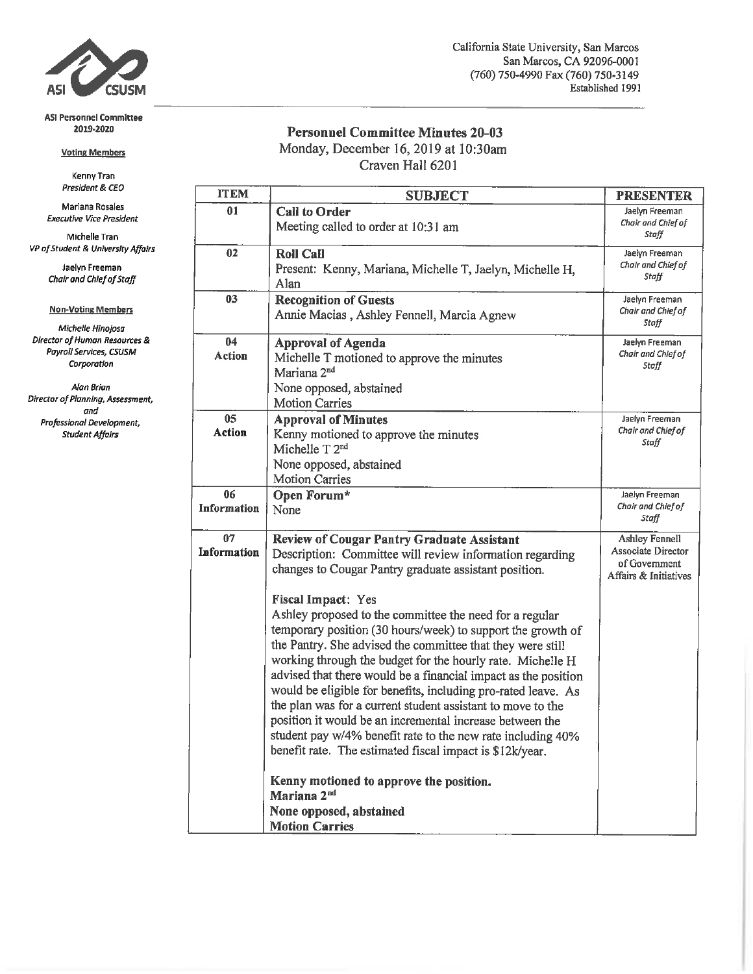

#### **ASI Personnel Committee** 2019-2020

### **Voting Members**

Kenny Tran President & CEO

Mariana Rosales **Executive Vice President** 

Michelle Tran VP of Student & University Affairs

> Jaelyn Freeman Chair and Chief of Staff

## **Non-Voting Members**

Michelle Hinojosa Director of Human Resources & Payroll Services, CSUSM Corporation

Alan Brian Director of Planning, Assessment, and Professional Development, **Student Affairs** 

## **Personnel Committee Minutes 20-03** Monday, December 16, 2019 at 10:30am

Craven Hall 6201

| <b>ITEM</b>              | <b>SUBJECT</b>                                                                                                                                                                                                                                                                                                                                                                                                                                                                                                                                                                                                                                                                                                                                                                                                                                                                                               | <b>PRESENTER</b>                                                               |  |  |  |
|--------------------------|--------------------------------------------------------------------------------------------------------------------------------------------------------------------------------------------------------------------------------------------------------------------------------------------------------------------------------------------------------------------------------------------------------------------------------------------------------------------------------------------------------------------------------------------------------------------------------------------------------------------------------------------------------------------------------------------------------------------------------------------------------------------------------------------------------------------------------------------------------------------------------------------------------------|--------------------------------------------------------------------------------|--|--|--|
| 01                       | <b>Call to Order</b><br>Meeting called to order at 10:31 am                                                                                                                                                                                                                                                                                                                                                                                                                                                                                                                                                                                                                                                                                                                                                                                                                                                  | Jaelyn Freeman<br>Chair and Chief of<br>Staff                                  |  |  |  |
| 02                       | <b>Roll Call</b><br>Jaelyn Freeman<br>Chair and Chief of<br>Present: Kenny, Mariana, Michelle T, Jaelyn, Michelle H,<br>Staff<br>Alan                                                                                                                                                                                                                                                                                                                                                                                                                                                                                                                                                                                                                                                                                                                                                                        |                                                                                |  |  |  |
| 03                       | <b>Recognition of Guests</b><br>Jaelyn Freeman<br>Chair and Chief of<br>Annie Macias, Ashley Fennell, Marcia Agnew<br>Staff                                                                                                                                                                                                                                                                                                                                                                                                                                                                                                                                                                                                                                                                                                                                                                                  |                                                                                |  |  |  |
| 04<br><b>Action</b>      | <b>Approval of Agenda</b><br>Jaelyn Freeman<br>Chair and Chief of<br>Michelle T motioned to approve the minutes<br>Staff<br>Mariana 2 <sup>nd</sup><br>None opposed, abstained<br><b>Motion Carries</b>                                                                                                                                                                                                                                                                                                                                                                                                                                                                                                                                                                                                                                                                                                      |                                                                                |  |  |  |
| 05<br>Action             | <b>Approval of Minutes</b><br>Kenny motioned to approve the minutes<br>Michelle T <sub>2<sup>nd</sup></sub><br>None opposed, abstained<br><b>Motion Carries</b>                                                                                                                                                                                                                                                                                                                                                                                                                                                                                                                                                                                                                                                                                                                                              | Jaelyn Freeman<br>Chair and Chief of<br>Staff                                  |  |  |  |
| 06<br><b>Information</b> | Open Forum*<br>None                                                                                                                                                                                                                                                                                                                                                                                                                                                                                                                                                                                                                                                                                                                                                                                                                                                                                          | Jaelyn Freeman<br>Chair and Chief of<br>Staff                                  |  |  |  |
| 07<br>Information        | <b>Review of Cougar Pantry Graduate Assistant</b><br>Description: Committee will review information regarding<br>changes to Cougar Pantry graduate assistant position.<br><b>Fiscal Impact: Yes</b><br>Ashley proposed to the committee the need for a regular<br>temporary position (30 hours/week) to support the growth of<br>the Pantry. She advised the committee that they were still<br>working through the budget for the hourly rate. Michelle H<br>advised that there would be a financial impact as the position<br>would be eligible for benefits, including pro-rated leave. As<br>the plan was for a current student assistant to move to the<br>position it would be an incremental increase between the<br>student pay w/4% benefit rate to the new rate including 40%<br>benefit rate. The estimated fiscal impact is \$12k/year.<br>Kenny motioned to approve the position.<br>Mariana 2nd | Ashley Fennell<br>Associate Director<br>of Government<br>Affairs & Initiatives |  |  |  |
|                          | None opposed, abstained<br><b>Motion Carries</b>                                                                                                                                                                                                                                                                                                                                                                                                                                                                                                                                                                                                                                                                                                                                                                                                                                                             |                                                                                |  |  |  |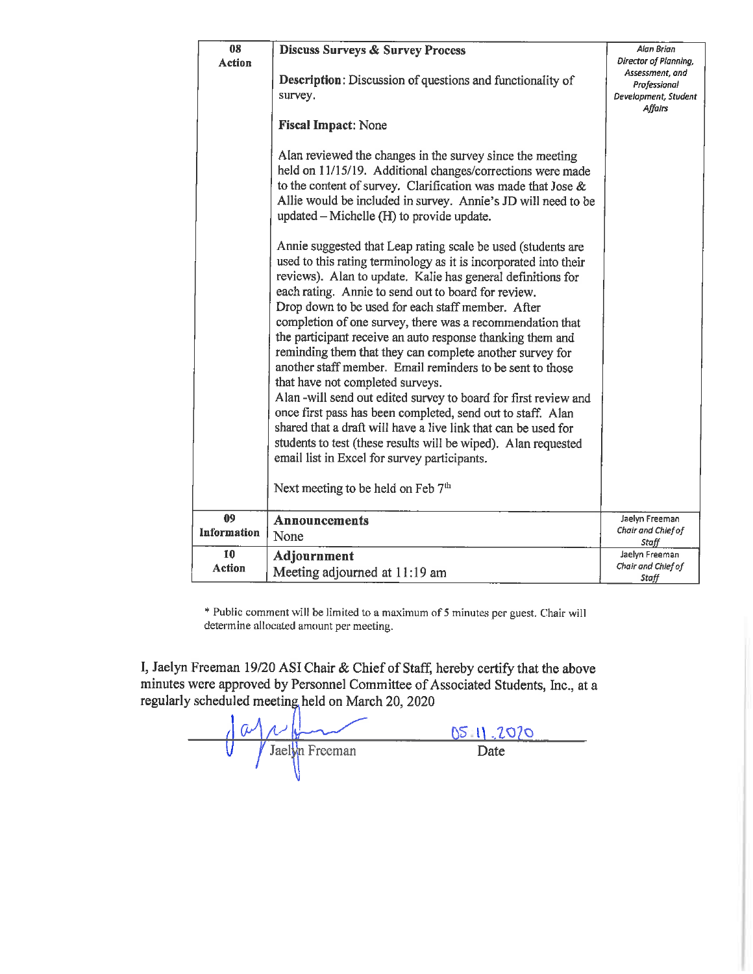| 08            | <b>Discuss Surveys &amp; Survey Process</b>                                                                                                                                                                                                                                                                                                                                                                                                                                                                                                                                                                                                                                                                                                                                                                                                                                                                                                                                 | Alan Brian                                                         |  |  |
|---------------|-----------------------------------------------------------------------------------------------------------------------------------------------------------------------------------------------------------------------------------------------------------------------------------------------------------------------------------------------------------------------------------------------------------------------------------------------------------------------------------------------------------------------------------------------------------------------------------------------------------------------------------------------------------------------------------------------------------------------------------------------------------------------------------------------------------------------------------------------------------------------------------------------------------------------------------------------------------------------------|--------------------------------------------------------------------|--|--|
| <b>Action</b> |                                                                                                                                                                                                                                                                                                                                                                                                                                                                                                                                                                                                                                                                                                                                                                                                                                                                                                                                                                             | Director of Planning,                                              |  |  |
|               | <b>Description:</b> Discussion of questions and functionality of<br>survey.                                                                                                                                                                                                                                                                                                                                                                                                                                                                                                                                                                                                                                                                                                                                                                                                                                                                                                 | Assessment, and<br>Professional<br>Development, Student<br>Affairs |  |  |
|               | <b>Fiscal Impact: None</b>                                                                                                                                                                                                                                                                                                                                                                                                                                                                                                                                                                                                                                                                                                                                                                                                                                                                                                                                                  |                                                                    |  |  |
|               | Alan reviewed the changes in the survey since the meeting<br>held on 11/15/19. Additional changes/corrections were made<br>to the content of survey. Clarification was made that Jose $\&$<br>Allie would be included in survey. Annie's JD will need to be<br>updated – Michelle (H) to provide update.                                                                                                                                                                                                                                                                                                                                                                                                                                                                                                                                                                                                                                                                    |                                                                    |  |  |
|               | Annie suggested that Leap rating scale be used (students are<br>used to this rating terminology as it is incorporated into their<br>reviews). Alan to update. Kalie has general definitions for<br>each rating. Annie to send out to board for review.<br>Drop down to be used for each staff member. After<br>completion of one survey, there was a recommendation that<br>the participant receive an auto response thanking them and<br>reminding them that they can complete another survey for<br>another staff member. Email reminders to be sent to those<br>that have not completed surveys.<br>Alan -will send out edited survey to board for first review and<br>once first pass has been completed, send out to staff. Alan<br>shared that a draft will have a live link that can be used for<br>students to test (these results will be wiped). Alan requested<br>email list in Excel for survey participants.<br>Next meeting to be held on Feb 7 <sup>th</sup> |                                                                    |  |  |
| 09            | <b>Announcements</b>                                                                                                                                                                                                                                                                                                                                                                                                                                                                                                                                                                                                                                                                                                                                                                                                                                                                                                                                                        | Jaelyn Freeman                                                     |  |  |
| Information   | None                                                                                                                                                                                                                                                                                                                                                                                                                                                                                                                                                                                                                                                                                                                                                                                                                                                                                                                                                                        | Chair and Chief of<br>Staff                                        |  |  |
| 10            | Adjournment                                                                                                                                                                                                                                                                                                                                                                                                                                                                                                                                                                                                                                                                                                                                                                                                                                                                                                                                                                 | Jaelyn Freeman                                                     |  |  |
| <b>Action</b> | Meeting adjourned at 11:19 am                                                                                                                                                                                                                                                                                                                                                                                                                                                                                                                                                                                                                                                                                                                                                                                                                                                                                                                                               | Chair and Chief of<br>Staff                                        |  |  |

\* Public comment will be limited to a maximum of 5 minutes per guest. Chair will determine allocated amount per meeting.

I, Jaelyn Freeman 19/20 ASI Chair & Chief of Staff, hereby certify that the above minutes were approved by Personnel Committee of Associated Students, Inc., at a regularly scheduled meeting held on March 20, 2020

 $\frac{d\psi}{d\theta}$  Jackson  $\frac{05}{2020}$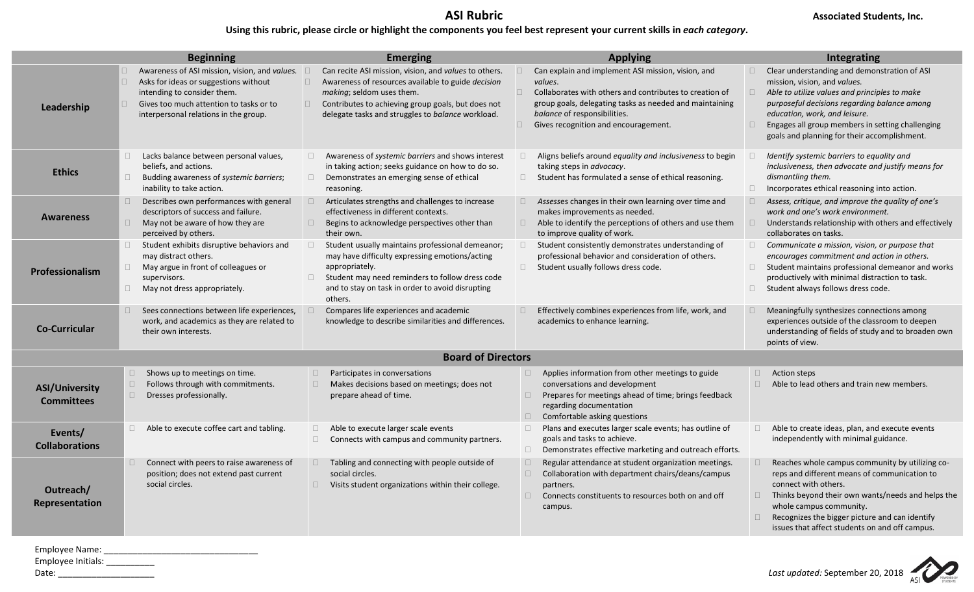# **Using this rubric, please circle or highlight the components you feel best represent your current skills in** *each category***.**

|                                            |                                                                                                                                                                                                                       |                                                                                                                                                                                                                                                                                             | <b>Applying</b>                                                                                                                                                                                                                                                       |                                                                                                                                                                                                                                                                                                                                                  |  |
|--------------------------------------------|-----------------------------------------------------------------------------------------------------------------------------------------------------------------------------------------------------------------------|---------------------------------------------------------------------------------------------------------------------------------------------------------------------------------------------------------------------------------------------------------------------------------------------|-----------------------------------------------------------------------------------------------------------------------------------------------------------------------------------------------------------------------------------------------------------------------|--------------------------------------------------------------------------------------------------------------------------------------------------------------------------------------------------------------------------------------------------------------------------------------------------------------------------------------------------|--|
|                                            | <b>Beginning</b>                                                                                                                                                                                                      | <b>Emerging</b>                                                                                                                                                                                                                                                                             |                                                                                                                                                                                                                                                                       | Integrating                                                                                                                                                                                                                                                                                                                                      |  |
| Leadership                                 | Awareness of ASI mission, vision, and values.<br>Asks for ideas or suggestions without<br>П.<br>intending to consider them.<br>Gives too much attention to tasks or to<br>П.<br>interpersonal relations in the group. | Can recite ASI mission, vision, and values to others.<br>$\Box$<br>$\square$<br>Awareness of resources available to guide <i>decision</i><br>making; seldom uses them.<br>Contributes to achieving group goals, but does not<br>$\Box$<br>delegate tasks and struggles to balance workload. | Can explain and implement ASI mission, vision, and<br>values.<br>Collaborates with others and contributes to creation of<br>$\Box$<br>group goals, delegating tasks as needed and maintaining<br>balance of responsibilities.<br>Gives recognition and encouragement. | Clear understanding and demonstration of ASI<br>$\Box$<br>mission, vision, and values.<br>$\Box$<br>Able to utilize values and principles to make<br>purposeful decisions regarding balance among<br>education, work, and leisure.<br>Engages all group members in setting challenging<br>$\Box$<br>goals and planning for their accomplishment. |  |
| <b>Ethics</b>                              | Lacks balance between personal values,<br>$\Box$<br>beliefs, and actions.<br>$\Box$<br>Budding awareness of systemic barriers;<br>inability to take action.                                                           | Awareness of systemic barriers and shows interest<br>$\Box$<br>in taking action; seeks guidance on how to do so.<br>$\Box$<br>Demonstrates an emerging sense of ethical<br>reasoning.                                                                                                       | Aligns beliefs around equality and inclusiveness to begin<br>$\Box$<br>taking steps in advocacy.<br>$\Box$ Student has formulated a sense of ethical reasoning.                                                                                                       | Identify systemic barriers to equality and<br>inclusiveness, then advocate and justify means for<br>dismantling them.<br>$\Box$<br>Incorporates ethical reasoning into action.                                                                                                                                                                   |  |
| <b>Awareness</b>                           | $\Box$<br>Describes own performances with general<br>descriptors of success and failure.<br>$\Box$<br>May not be aware of how they are<br>perceived by others.                                                        | $\Box$<br>Articulates strengths and challenges to increase<br>effectiveness in different contexts.<br>$\Box$<br>Begins to acknowledge perspectives other than<br>their own.                                                                                                                 | $\Box$ Assesses changes in their own learning over time and<br>makes improvements as needed.<br>$\Box$ Able to identify the perceptions of others and use them<br>to improve quality of work.                                                                         | $\Box$<br>Assess, critique, and improve the quality of one's<br>work and one's work environment.<br>$\Box$<br>Understands relationship with others and effectively<br>collaborates on tasks.                                                                                                                                                     |  |
| <b>Professionalism</b>                     | $\Box$<br>Student exhibits disruptive behaviors and<br>may distract others.<br>$\Box$<br>May argue in front of colleagues or<br>supervisors.<br>$\Box$ May not dress appropriately.                                   | Student usually maintains professional demeanor;<br>$\Box$<br>may have difficulty expressing emotions/acting<br>appropriately.<br>Student may need reminders to follow dress code<br>$\Box$<br>and to stay on task in order to avoid disrupting<br>others.                                  | Student consistently demonstrates understanding of<br>$\Box$<br>professional behavior and consideration of others.<br>□ Student usually follows dress code.                                                                                                           | $\Box$<br>Communicate a mission, vision, or purpose that<br>encourages commitment and action in others.<br>$\Box$<br>Student maintains professional demeanor and works<br>productively with minimal distraction to task.<br>$\Box$ Student always follows dress code.                                                                            |  |
| <b>Co-Curricular</b>                       | Sees connections between life experiences,<br>$\Box$<br>work, and academics as they are related to<br>their own interests.                                                                                            | Compares life experiences and academic<br>knowledge to describe similarities and differences.                                                                                                                                                                                               | Effectively combines experiences from life, work, and<br>$\Box$<br>academics to enhance learning.                                                                                                                                                                     | $\Box$<br>Meaningfully synthesizes connections among<br>experiences outside of the classroom to deepen<br>understanding of fields of study and to broaden own<br>points of view.                                                                                                                                                                 |  |
| <b>Board of Directors</b>                  |                                                                                                                                                                                                                       |                                                                                                                                                                                                                                                                                             |                                                                                                                                                                                                                                                                       |                                                                                                                                                                                                                                                                                                                                                  |  |
| <b>ASI/University</b><br><b>Committees</b> | Shows up to meetings on time.<br>П<br>$\Box$<br>Follows through with commitments.<br>$\Box$<br>Dresses professionally.                                                                                                | $\Box$<br>Participates in conversations<br>$\Box$<br>Makes decisions based on meetings; does not<br>prepare ahead of time.                                                                                                                                                                  | Applies information from other meetings to guide<br>$\Box$<br>conversations and development<br>Prepares for meetings ahead of time; brings feedback<br>$\Box$<br>regarding documentation<br>$\Box$<br>Comfortable asking questions                                    | $\Box$<br><b>Action steps</b><br>$\Box$<br>Able to lead others and train new members.                                                                                                                                                                                                                                                            |  |
| Events/<br><b>Collaborations</b>           | Able to execute coffee cart and tabling.<br>$\Box$                                                                                                                                                                    | Able to execute larger scale events<br>$\Box$<br>$\Box$<br>Connects with campus and community partners.                                                                                                                                                                                     | $\Box$<br>Plans and executes larger scale events; has outline of<br>goals and tasks to achieve.<br>$\Box$<br>Demonstrates effective marketing and outreach efforts.                                                                                                   | Able to create ideas, plan, and execute events<br>$\Box$<br>independently with minimal guidance.                                                                                                                                                                                                                                                 |  |
| Outreach/<br>Representation                | Connect with peers to raise awareness of<br>$\Box$<br>position; does not extend past current<br>social circles.                                                                                                       | $\Box$<br>Tabling and connecting with people outside of<br>social circles.<br>$\Box$<br>Visits student organizations within their college.                                                                                                                                                  | $\Box$<br>Regular attendance at student organization meetings.<br>$\Box$<br>Collaboration with department chairs/deans/campus<br>partners.<br>$\Box$<br>Connects constituents to resources both on and off<br>campus.                                                 | Reaches whole campus community by utilizing co-<br>reps and different means of communication to<br>connect with others.<br>Thinks beyond their own wants/needs and helps the<br>$\Box$<br>whole campus community.<br>Recognizes the bigger picture and can identify<br>$\Box$<br>issues that affect students on and off campus.                  |  |

Employee Name: \_\_\_\_\_\_\_\_\_\_\_\_\_\_\_\_\_\_\_\_\_\_\_\_\_\_\_\_\_\_\_\_ Employee Initials: \_\_\_\_\_\_\_\_\_\_\_\_